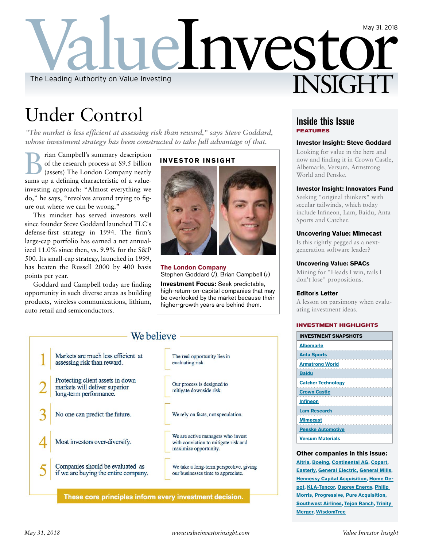

# Under Control

*"The market is less efficient at assessing risk than reward," says Steve Goddard, whose investment strategy has been constructed to take full advantage of that.* 

**B** rian Campbell's summary description<br>of the research process at \$9.5 billion<br>(assets) The London Company neatly of the research process at \$9.5 billion (assets) The London Company neatly sums up a defining characteristic of a valueinvesting approach: "Almost everything we do," he says, "revolves around trying to figure out where we can be wrong."

This mindset has served investors well since founder Steve Goddard launched TLC's defense-first strategy in 1994. The firm's large-cap portfolio has earned a net annualized 11.0% since then, vs. 9.9% for the S&P 500. Its small-cap strategy, launched in 1999, has beaten the Russell 2000 by 400 basis points per year.

Goddard and Campbell today are finding opportunity in such diverse areas as building products, wireless communications, lithium, auto retail and semiconductors.

## **INVESTOR INSIGHT**



**The London Company** Stephen Goddard (*l*), Brian Campbell (*r*)

**Investment Focus:** Seek predictable, high-return-on-capital companies that may be overlooked by the market because their higher-growth years are behind them.

## We believe -Markets are much less efficient at The real opportunity lies in assessing risk than reward. evaluating risk. Protecting client assets in down Our process is designed to markets will deliver superior mitigate downside risk. long-term performance. No one can predict the future. We rely on facts, not speculation. We are active managers who invest Most investors over-diversify. with conviction to mitigate risk and maximize opportunity. Companies should be evaluated as We take a long-term perspective, giving if we are buying the entire company. our businesses time to appreciate.

These core principles inform every investment decision.

## **Inside this Issue FEATURES**

## **Investor Insight: Steve Goddard**

Looking for value in the here and now and finding it in Crown Castle, Albemarle, Versum, Armstrong World and Penske.

#### **Investor Insight: Innovators Fund**

Seeking "original thinkers" with secular tailwinds, which today include Infineon, Lam, Baidu, Anta Sports and Catcher.

## **Uncovering Value: Mimecast**

Is this rightly pegged as a nextgeneration software leader?

## **Uncovering Value: SPACs**

Mining for "Heads I win, tails I don't lose" propositions.

#### **Editor's Letter**

A lesson on parsimony when evaluating investment ideas.

#### **INVESTMENT HIGHLIGHTS**

| <b>INVESTMENT SNAPSHOTS</b>                                                                                                           |
|---------------------------------------------------------------------------------------------------------------------------------------|
| <b>Albemarle</b>                                                                                                                      |
| <b>Anta Sports</b>                                                                                                                    |
| <b>Armstrong World</b>                                                                                                                |
| <b>Baidu</b><br><b>Contract Contract Contract Contract Contract Contract Contract Contract Contract Contract Contract Contract Co</b> |
| <b>Catcher Technology</b>                                                                                                             |
| <b>Crown Castle</b>                                                                                                                   |
| <b>Infineon</b>                                                                                                                       |
| <b>Lam Research</b>                                                                                                                   |
| <b>Mimecast</b>                                                                                                                       |
| <b>Penske Automotive</b>                                                                                                              |
| <b>Versum Materials</b>                                                                                                               |

#### **Other companies in this issue:**

**Altria, Boeing, Continental AG, Copart, Easterly, General Electric, General Mills, Hennessy Capital Acquisition, Home Depot, KLA-Tencor, Osprey Energy, Philip Morris, Progressive, Pure Acquisition, Southwest Airlines, Tejon Ranch, Trinity Merger, WisdomTree**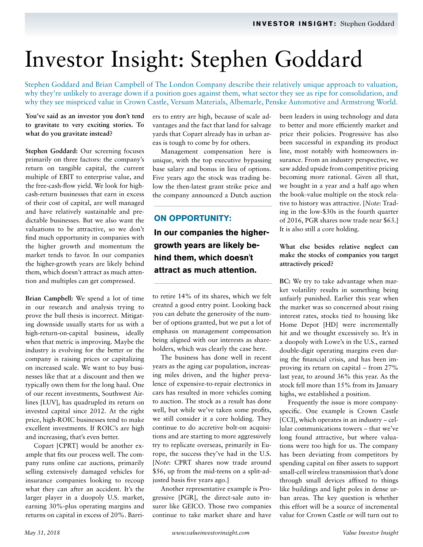# Investor Insight: Stephen Goddard

Stephen Goddard and Brian Campbell of The London Company describe their relatively unique approach to valuation, why they're unlikely to average down if a position goes against them, what sector they see as ripe for consolidation, and why they see mispriced value in Crown Castle, Versum Materials, Albemarle, Penske Automotive and Armstrong World.

## **You've said as an investor you don't tend to gravitate to very exciting stories. To what do you gravitate instead?**

**Stephen Goddard:** Our screening focuses primarily on three factors: the company's return on tangible capital, the current multiple of EBIT to enterprise value, and the free-cash-flow yield. We look for highcash-return businesses that earn in excess of their cost of capital, are well managed and have relatively sustainable and predictable businesses. But we also want the valuations to be attractive, so we don't find much opportunity in companies with the higher growth and momentum the market tends to favor. In our companies the higher-growth years are likely behind them, which doesn't attract as much attention and multiples can get compressed.

**Brian Campbell:** We spend a lot of time in our research and analysis trying to prove the bull thesis is incorrect. Mitigating downside usually starts for us with a high-return-on-capital business, ideally when that metric is improving. Maybe the industry is evolving for the better or the company is raising prices or capitalizing on increased scale. We want to buy businesses like that at a discount and then we typically own them for the long haul. One of our recent investments, Southwest Airlines [LUV], has quadrupled its return on invested capital since 2012. At the right price, high-ROIC businesses tend to make excellent investments. If ROIC's are high and increasing, that's even better.

Copart [CPRT] would be another example that fits our process well. The company runs online car auctions, primarily selling extensively damaged vehicles for insurance companies looking to recoup what they can after an accident. It's the larger player in a duopoly U.S. market, earning 30%-plus operating margins and returns on capital in excess of 20%. Barriers to entry are high, because of scale advantages and the fact that land for salvage yards that Copart already has in urban areas is tough to come by for others.

Management compensation here is unique, with the top executive bypassing base salary and bonus in lieu of options. Five years ago the stock was trading below the then-latest grant strike price and the company announced a Dutch auction

## **ON OPPORTUNITY:**

# **In our companies the highergrowth years are likely behind them, which doesn't attract as much attention.**

to retire 14% of its shares, which we felt created a good entry point. Looking back you can debate the generosity of the number of options granted, but we put a lot of emphasis on management compensation being aligned with our interests as shareholders, which was clearly the case here.

The business has done well in recent years as the aging car population, increasing miles driven, and the higher prevalence of expensive-to-repair electronics in cars has resulted in more vehicles coming to auction. The stock as a result has done well, but while we've taken some profits, we still consider it a core holding. They continue to do accretive bolt-on acquisitions and are starting to more aggressively try to replicate overseas, primarily in Europe, the success they've had in the U.S. [*Note*: CPRT shares now trade around \$56, up from the mid-teens on a split-adjusted basis five years ago.]

Another representative example is Progressive [PGR], the direct-sale auto insurer like GEICO. Those two companies continue to take market share and have been leaders in using technology and data to better and more efficiently market and price their policies. Progressive has also been successful in expanding its product line, most notably with homeowners insurance. From an industry perspective, we saw added upside from competitive pricing becoming more rational. Given all that, we bought in a year and a half ago when the book-value multiple on the stock relative to history was attractive. [*Note*: Trading in the low-\$30s in the fourth quarter of 2016, PGR shares now trade near \$63.] It is also still a core holding.

## **What else besides relative neglect can make the stocks of companies you target attractively priced?**

**BC:** We try to take advantage when market volatility results in something being unfairly punished. Earlier this year when the market was so concerned about rising interest rates, stocks tied to housing like Home Depot [HD] were incrementally hit and we thought excessively so. It's in a duopoly with Lowe's in the U.S., earned double-digit operating margins even during the financial crisis, and has been improving its return on capital – from 27% last year, to around 36% this year. As the stock fell more than 15% from its January highs, we established a position.

Frequently the issue is more companyspecific. One example is Crown Castle [CCI], which operates in an industry – cellular communications towers – that we've long found attractive, but where valuations were too high for us. The company has been deviating from competitors by spending capital on fiber assets to support small-cell wireless transmission that's done through small devices affixed to things like buildings and light poles in dense urban areas. The key question is whether this effort will be a source of incremental value for Crown Castle or will turn out to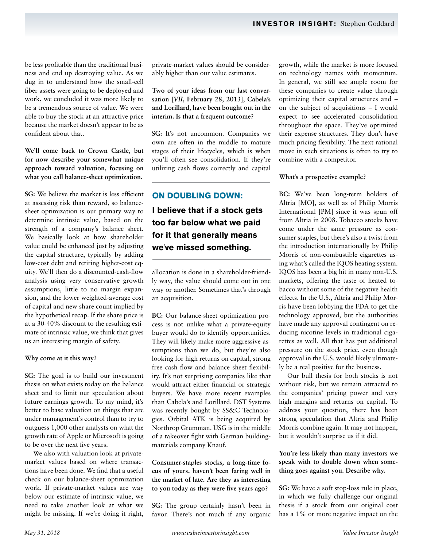be less profitable than the traditional business and end up destroying value. As we dug in to understand how the small-cell fiber assets were going to be deployed and work, we concluded it was more likely to be a tremendous source of value. We were able to buy the stock at an attractive price because the market doesn't appear to be as confident about that.

**We'll come back to Crown Castle, but for now describe your somewhat unique approach toward valuation, focusing on what you call balance-sheet optimization.** 

**SG:** We believe the market is less efficient at assessing risk than reward, so balancesheet optimization is our primary way to determine intrinsic value, based on the strength of a company's balance sheet. We basically look at how shareholder value could be enhanced just by adjusting the capital structure, typically by adding low-cost debt and retiring higher-cost equity. We'll then do a discounted-cash-flow analysis using very conservative growth assumptions, little to no margin expansion, and the lower weighted-average cost of capital and new share count implied by the hypothetical recap. If the share price is at a 30-40% discount to the resulting estimate of intrinsic value, we think that gives us an interesting margin of safety.

#### **Why come at it this way?**

**SG:** The goal is to build our investment thesis on what exists today on the balance sheet and to limit our speculation about future earnings growth. To my mind, it's better to base valuation on things that are under management's control than to try to outguess 1,000 other analysts on what the growth rate of Apple or Microsoft is going to be over the next five years.

We also with valuation look at privatemarket values based on where transactions have been done. We find that a useful check on our balance-sheet optimization work. If private-market values are way below our estimate of intrinsic value, we need to take another look at what we might be missing. If we're doing it right,

private-market values should be considerably higher than our value estimates.

**Two of your ideas from our last conversation [***VII***, February 28, 2013], Cabela's and Lorillard, have been bought out in the interim. Is that a frequent outcome?**

**SG:** It's not uncommon. Companies we own are often in the middle to mature stages of their lifecycles, which is when you'll often see consolidation. If they're utilizing cash flows correctly and capital

## **ON DOUBLING DOWN:**

**I believe that if a stock gets too far below what we paid for it that generally means we've missed something.**

allocation is done in a shareholder-friendly way, the value should come out in one way or another. Sometimes that's through an acquisition.

**BC:** Our balance-sheet optimization process is not unlike what a private-equity buyer would do to identify opportunities. They will likely make more aggressive assumptions than we do, but they're also looking for high returns on capital, strong free cash flow and balance sheet flexibility. It's not surprising companies like that would attract either financial or strategic buyers. We have more recent examples than Cabela's and Lorillard. DST Systems was recently bought by SS&C Technologies. Orbital ATK is being acquired by Northrop Grumman. USG is in the middle of a takeover fight with German buildingmaterials company Knauf.

**Consumer-staples stocks, a long-time focus of yours, haven't been faring well in the market of late. Are they as interesting to you today as they were five years ago?**

**SG:** The group certainly hasn't been in favor. There's not much if any organic growth, while the market is more focused on technology names with momentum. In general, we still see ample room for these companies to create value through optimizing their capital structures and – on the subject of acquisitions – I would expect to see accelerated consolidation throughout the space. They've optimized their expense structures. They don't have much pricing flexibility. The next rational move in such situations is often to try to combine with a competitor.

#### **What's a prospective example?**

**BC:** We've been long-term holders of Altria [MO], as well as of Philip Morris International [PM] since it was spun off from Altria in 2008. Tobacco stocks have come under the same pressure as consumer staples, but there's also a twist from the introduction internationally by Philip Morris of non-combustible cigarettes using what's called the IQOS heating system. IQOS has been a big hit in many non-U.S. markets, offering the taste of heated tobacco without some of the negative health effects. In the U.S., Altria and Philip Morris have been lobbying the FDA to get the technology approved, but the authorities have made any approval contingent on reducing nicotine levels in traditional cigarettes as well. All that has put additional pressure on the stock price, even though approval in the U.S. would likely ultimately be a real positive for the business.

Our bull thesis for both stocks is not without risk, but we remain attracted to the companies' pricing power and very high margins and returns on capital. To address your question, there has been strong speculation that Altria and Philip Morris combine again. It may not happen, but it wouldn't surprise us if it did.

## **You're less likely than many investors we speak with to double down when something goes against you. Describe why.**

**SG:** We have a soft stop-loss rule in place, in which we fully challenge our original thesis if a stock from our original cost has a 1% or more negative impact on the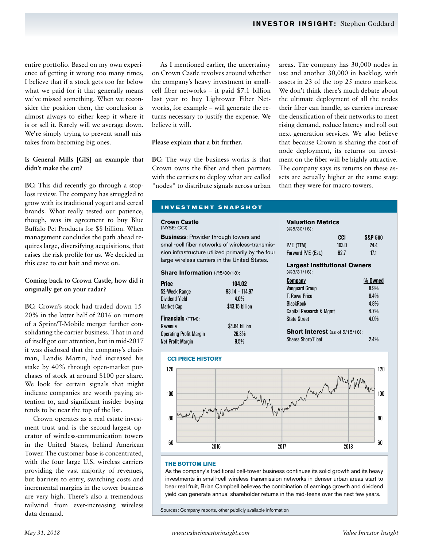entire portfolio. Based on my own experience of getting it wrong too many times, I believe that if a stock gets too far below what we paid for it that generally means we've missed something. When we reconsider the position then, the conclusion is almost always to either keep it where it is or sell it. Rarely will we average down. We're simply trying to prevent small mistakes from becoming big ones.

## **Is General Mills [GIS] an example that didn't make the cut?**

**BC:** This did recently go through a stoploss review. The company has struggled to grow with its traditional yogurt and cereal brands. What really tested our patience, though, was its agreement to buy Blue Buffalo Pet Products for \$8 billion. When management concludes the path ahead requires large, diversifying acquisitions, that raises the risk profile for us. We decided in this case to cut bait and move on.

## **Coming back to Crown Castle, how did it originally get on your radar?**

**BC:** Crown's stock had traded down 15- 20% in the latter half of 2016 on rumors of a Sprint/T-Mobile merger further consolidating the carrier business. That in and of itself got our attention, but in mid-2017 it was disclosed that the company's chairman, Landis Martin, had increased his stake by 40% through open-market purchases of stock at around \$100 per share. We look for certain signals that might indicate companies are worth paying attention to, and significant insider buying tends to be near the top of the list.

Crown operates as a real estate investment trust and is the second-largest operator of wireless-communication towers in the United States, behind American Tower. The customer base is concentrated, with the four large U.S. wireless carriers providing the vast majority of revenues, but barriers to entry, switching costs and incremental margins in the tower business are very high. There's also a tremendous tailwind from ever-increasing wireless data demand.

As I mentioned earlier, the uncertainty on Crown Castle revolves around whether the company's heavy investment in smallcell fiber networks – it paid \$7.1 billion last year to buy Lightower Fiber Networks, for example – will generate the returns necessary to justify the expense. We believe it will.

## **Please explain that a bit further.**

**BC:** The way the business works is that Crown owns the fiber and then partners with the carriers to deploy what are called "nodes" to distribute signals across urban areas. The company has 30,000 nodes in use and another 30,000 in backlog, with assets in 23 of the top 25 metro markets. We don't think there's much debate about the ultimate deployment of all the nodes their fiber can handle, as carriers increase the densification of their networks to meet rising demand, reduce latency and roll out next-generation services. We also believe that because Crown is sharing the cost of node deployment, its returns on investment on the fiber will be highly attractive. The company says its returns on these assets are actually higher at the same stage than they were for macro towers.

## **INVESTMENT SNAPSHOT**

#### **Crown Castle**  (NYSE: CCI)

**Business**: Provider through towers and small-cell fiber networks of wireless-transmission infrastructure utilized primarily by the four large wireless carriers in the United States.

#### **Share Information** (@5/30/18):

| <b>Price</b>                   | 104.02           |
|--------------------------------|------------------|
| 52-Week Range                  | $93.14 - 114.97$ |
| <b>Dividend Yield</b>          | 4.0%             |
| <b>Market Cap</b>              | \$43.15 billion  |
| Financials (TTM):              |                  |
| Revenue                        | \$4.64 billion   |
| <b>Operating Profit Margin</b> | 26.3%            |
| <b>Net Profit Margin</b>       | 9.5%             |

## (@5/30/18): **CCI S&P 500** P/E (TTM) 103.0 24.4<br>
Forward P/F (Fst) 62.7 171 Forward P/E (Est.) **Largest Institutional Owners** (@3/31/18): **Company % Owned** Vanguard Group 8.9% T. Rowe Price 8.4%<br>BlackRock 8.4% BlackRock 4.8%<br>Canital Research & Momt 4.7% Capital Research & Mgmt State Street 4.0%

**Valuation Metrics**

**Short Interest** (as of 5/15/18): Shares Short/Float 2.4%



#### **THE BOTTOM LINE**

As the company's traditional cell-tower business continues its solid growth and its heavy investments in small-cell wireless transmission networks in denser urban areas start to bear real fruit, Brian Campbell believes the combination of earnings growth and dividend yield can generate annual shareholder returns in the mid-teens over the next few years.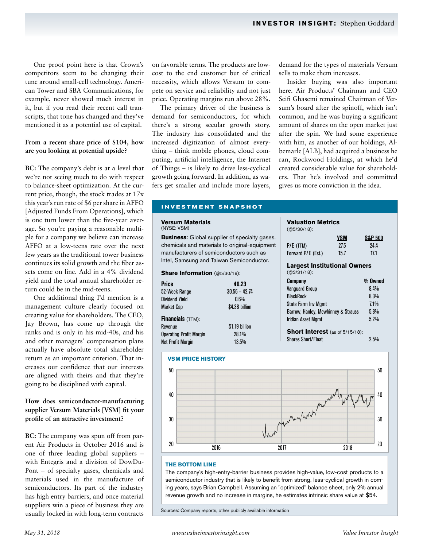One proof point here is that Crown's competitors seem to be changing their tune around small-cell technology. American Tower and SBA Communications, for example, never showed much interest in it, but if you read their recent call transcripts, that tone has changed and they've mentioned it as a potential use of capital.

## **From a recent share price of \$104, how are you looking at potential upside?**

**BC:** The company's debt is at a level that we're not seeing much to do with respect to balance-sheet optimization. At the current price, though, the stock trades at 17x this year's run rate of \$6 per share in AFFO [Adjusted Funds From Operations], which is one turn lower than the five-year average. So you're paying a reasonable multiple for a company we believe can increase AFFO at a low-teens rate over the next few years as the traditional tower business continues its solid growth and the fiber assets come on line. Add in a 4% dividend yield and the total annual shareholder return could be in the mid-teens.

One additional thing I'd mention is a management culture clearly focused on creating value for shareholders. The CEO, Jay Brown, has come up through the ranks and is only in his mid-40s, and his and other managers' compensation plans actually have absolute total shareholder return as an important criterion. That increases our confidence that our interests are aligned with theirs and that they're going to be disciplined with capital.

## **How does semiconductor-manufacturing supplier Versum Materials [VSM] fit your profile of an attractive investment?**

**BC:** The company was spun off from parent Air Products in October 2016 and is one of three leading global suppliers – with Entegris and a division of DowDu-Pont – of specialty gases, chemicals and materials used in the manufacture of semiconductors. Its part of the industry has high entry barriers, and once material suppliers win a piece of business they are usually locked in with long-term contracts

on favorable terms. The products are lowcost to the end customer but of critical necessity, which allows Versum to compete on service and reliability and not just price. Operating margins run above 28%.

The primary driver of the business is demand for semiconductors, for which there's a strong secular growth story. The industry has consolidated and the increased digitization of almost everything – think mobile phones, cloud computing, artificial intelligence, the Internet of Things – is likely to drive less-cyclical growth going forward. In addition, as wafers get smaller and include more layers, demand for the types of materials Versum sells to make them increases.

Insider buying was also important here. Air Products' Chairman and CEO Seifi Ghasemi remained Chairman of Versum's board after the spinoff, which isn't common, and he was buying a significant amount of shares on the open market just after the spin. We had some experience with him, as another of our holdings, Albemarle [ALB], had acquired a business he ran, Rockwood Holdings, at which he'd created considerable value for shareholders. That he's involved and committed gives us more conviction in the idea.

## **INVESTMENT SNAPSHOT**

#### **Versum Materials**  (NYSE: VSM)

**Business**: Global supplier of specialty gases, chemicals and materials to original-equipment manufacturers of semiconductors such as Intel, Samsung and Taiwan Semiconductor.

#### **Share Information** (@5/30/18):

| <b>Price</b>                   | 40.23           |
|--------------------------------|-----------------|
| 52-Week Range                  | $30.56 - 42.74$ |
| <b>Dividend Yield</b>          | $0.6\%$         |
| <b>Market Cap</b>              | \$4.38 billion  |
| <b>Financials</b> $(TTM)$ :    |                 |
| Revenue                        | \$1.19 billion  |
| <b>Operating Profit Margin</b> | 28.1%           |
| <b>Net Profit Margin</b>       | 13.5%           |





#### **THE BOTTOM LINE**

The company's high-entry-barrier business provides high-value, low-cost products to a semiconductor industry that is likely to benefit from strong, less-cyclical growth in coming years, says Brian Campbell. Assuming an "optimized" balance sheet, only 2% annual revenue growth and no increase in margins, he estimates intrinsic share value at \$54.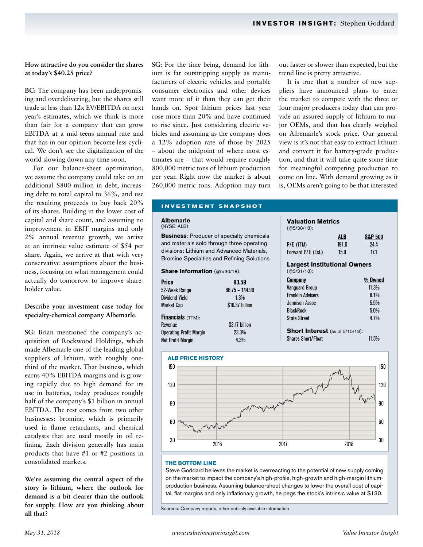## **How attractive do you consider the shares at today's \$40.25 price?**

**BC:** The company has been underpromising and overdelivering, but the shares still trade at less than 12x EV/EBITDA on next year's estimates, which we think is more than fair for a company that can grow EBITDA at a mid-teens annual rate and that has in our opinion become less cyclical. We don't see the digitalization of the world slowing down any time soon.

For our balance-sheet optimization, we assume the company could take on an additional \$800 million in debt, increasing debt to total capital to 36%, and use the resulting proceeds to buy back 20% of its shares. Building in the lower cost of capital and share count, and assuming no improvement in EBIT margins and only 2% annual revenue growth, we arrive at an intrinsic value estimate of \$54 per share. Again, we arrive at that with very conservative assumptions about the business, focusing on what management could actually do tomorrow to improve shareholder value.

## **Describe your investment case today for specialty-chemical company Albemarle.**

**SG:** Brian mentioned the company's acquisition of Rockwood Holdings, which made Albemarle one of the leading global suppliers of lithium, with roughly onethird of the market. That business, which earns 40% EBITDA margins and is growing rapidly due to high demand for its use in batteries, today produces roughly half of the company's \$1 billion in annual EBITDA. The rest comes from two other businesses: bromine, which is primarily used in flame retardants, and chemical catalysts that are used mostly in oil refining. Each division generally has main products that have #1 or #2 positions in consolidated markets.

**We're assuming the central aspect of the story is lithium, where the outlook for demand is a bit clearer than the outlook for supply. How are you thinking about all that?**

**SG:** For the time being, demand for lithium is far outstripping supply as manufacturers of electric vehicles and portable consumer electronics and other devices want more of it than they can get their hands on. Spot lithium prices last year rose more than 20% and have continued to rise since. Just considering electric vehicles and assuming as the company does a 12% adoption rate of those by 2025 – about the midpoint of where most estimates are – that would require roughly 800,000 metric tons of lithium production per year. Right now the market is about 260,000 metric tons. Adoption may turn

out faster or slower than expected, but the trend line is pretty attractive.

It is true that a number of new suppliers have announced plans to enter the market to compete with the three or four major producers today that can provide an assured supply of lithium to major OEMs, and that has clearly weighed on Albemarle's stock price. Our general view is it's not that easy to extract lithium and convert it for battery-grade production, and that it will take quite some time for meaningful competing production to come on line. With demand growing as it is, OEMs aren't going to be that interested

#### **INVESTMENT SNAPSHOT**

#### **Albemarle**  (NYSE: ALB)

**Business**: Producer of specialty chemicals and materials sold through three operating divisions: Lithium and Advanced Materials, Bromine Specialties and Refining Solutions.

#### **Share Information** (@5/30/18):

| <b>Price</b>                   | 93.59            |  |
|--------------------------------|------------------|--|
| 52-Week Range                  | $86.75 - 144.99$ |  |
| <b>Dividend Yield</b>          | 1.3%             |  |
| <b>Market Cap</b>              | \$10.37 billion  |  |
| <b>Financials</b> (TTM):       |                  |  |
| Revenue                        | \$3.17 billion   |  |
| <b>Operating Profit Margin</b> | 23.3%            |  |
| <b>Net Profit Margin</b>       | 4.3%             |  |

| valuation metrics                      |       |                    |
|----------------------------------------|-------|--------------------|
| $(Q5/30/18)$ :                         |       |                    |
|                                        | ALB   | <b>S&amp;P 500</b> |
| P/E (TTM)                              | 191.0 | 24.4               |
| Forward P/E (Est.)                     | 15.9  | 17.1               |
| <b>Largest Institutional Owners</b>    |       |                    |
| $(Q3/31/18)$ :                         |       |                    |
| Company                                |       | % Owned            |
| <b>Vanguard Group</b>                  |       | 11.3%              |
| <b>Franklin Advisers</b>               |       | 8.1%               |
| Jennison Assoc                         |       | 5.5%               |
| <b>BlackRock</b>                       |       | 5.0%               |
| State Street                           |       | 4.7%               |
| <b>Short Interest</b> (as of 5/15/18): |       |                    |
| Shares Short/Float                     |       | $11.5\%$           |

**Valuation Metrics**



#### **THE BOTTOM LINE**

Steve Goddard believes the market is overreacting to the potential of new supply coming on the market to impact the company's high-profile, high-growth and high-margin lithiumproduction business. Assuming balance-sheet changes to lower the overall cost of capital, flat margins and only inflationary growth, he pegs the stock's intrinsic value at \$130.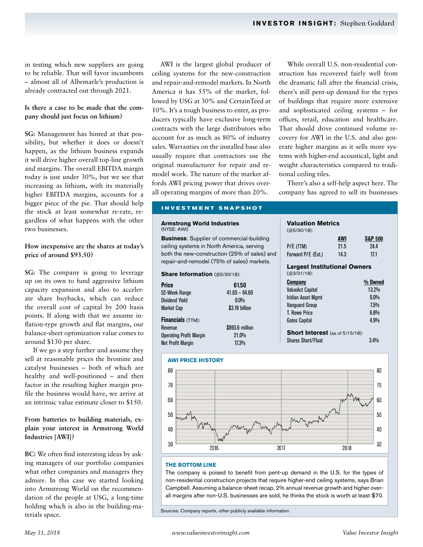in testing which new suppliers are going to be reliable. That will favor incumbents – almost all of Albemarle's production is already contracted out through 2021.

## **Is there a case to be made that the company should just focus on lithium?**

**SG:** Management has hinted at that possibility, but whether it does or doesn't happen, as the lithium business expands it will drive higher overall top-line growth and margins. The overall EBITDA margin today is just under 30%, but we see that increasing as lithium, with its materially higher EBITDA margins, accounts for a bigger piece of the pie. That should help the stock at least somewhat re-rate, regardless of what happens with the other two businesses.

## **How inexpensive are the shares at today's price of around \$93.50?**

**SG:** The company is going to leverage up on its own to fund aggressive lithium capacity expansion and also to accelerate share buybacks, which can reduce the overall cost of capital by 200 basis points. If along with that we assume inflation-type growth and flat margins, our balance-sheet optimization value comes to around \$130 per share.

If we go a step further and assume they sell at reasonable prices the bromine and catalyst businesses – both of which are healthy and well-positioned – and then factor in the resulting higher margin profile the business would have, we arrive at an intrinsic value estimate closer to \$150.

## **From batteries to building materials, explain your interest in Armstrong World Industries [AWI]?**

**BC:** We often find interesting ideas by asking managers of our portfolio companies what other companies and managers they admire. In this case we started looking into Armstrong World on the recommendation of the people at USG, a long-time holding which is also in the building-materials space.

AWI is the largest global producer of ceiling systems for the new-construction and repair-and-remodel markets. In North America it has 55% of the market, followed by USG at 30% and CertainTeed at 10%. It's a tough business to enter, as producers typically have exclusive long-term contracts with the large distributors who account for as much as 80% of industry sales. Warranties on the installed base also usually require that contractors use the original manufacturer for repair and remodel work. The nature of the market affords AWI pricing power that drives overall operating margins of more than 20%.

While overall U.S. non-residential construction has recovered fairly well from the dramatic fall after the financial crisis, there's still pent-up demand for the types of buildings that require more extensive and sophisticated ceiling systems – for offices, retail, education and healthcare. That should drive continued volume recovery for AWI in the U.S. and also generate higher margins as it sells more systems with higher-end acoustical, light and weight characteristics compared to traditional ceiling tiles.

There's also a self-help aspect here. The company has agreed to sell its businesses

**Valuation Metrics**

## **INVESTMENT SNAPSHOT**

#### **Armstrong World Industries**  (NYSE: AWI)

**Business**: Supplier of commercial-building ceiling systems in North America, serving both the new-construction (25% of sales) and repair-and-remodel (75% of sales) markets.

#### **Share Information** (@5/30/18):

| Price                          | 61.50           |  |
|--------------------------------|-----------------|--|
| 52-Week Range                  | $41.65 - 64.60$ |  |
| Dividend Yield                 | $0.0\%$         |  |
| Market Cap                     | \$3.19 billion  |  |
| <b>Financials</b> (TTM):       |                 |  |
| Revenue                        | \$893.6 million |  |
| <b>Operating Profit Margin</b> | 21.0%           |  |
| Net Profit Margin              | 17.3%           |  |
|                                |                 |  |



Shares Short/Float 3.4%



#### **THE BOTTOM LINE**

The company is poised to benefit from pent-up demand in the U.S. for the types of non-residential construction projects that require higher-end ceiling systems, says Brian Campbell. Assuming a balance-sheet recap, 2% annual revenue growth and higher overall margins after non-U.S. businesses are sold, he thinks the stock is worth at least \$70.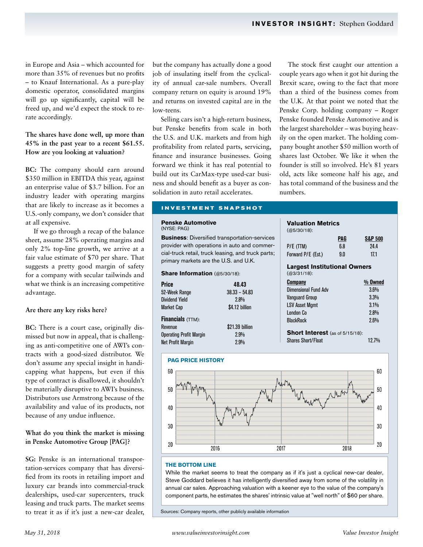in Europe and Asia – which accounted for more than 35% of revenues but no profits – to Knauf International. As a pure-play domestic operator, consolidated margins will go up significantly, capital will be freed up, and we'd expect the stock to rerate accordingly.

## **The shares have done well, up more than 45% in the past year to a recent \$61.55. How are you looking at valuation?**

**BC:** The company should earn around \$350 million in EBITDA this year, against an enterprise value of \$3.7 billion. For an industry leader with operating margins that are likely to increase as it becomes a U.S.-only company, we don't consider that at all expensive.

If we go through a recap of the balance sheet, assume 28% operating margins and only 2% top-line growth, we arrive at a fair value estimate of \$70 per share. That suggests a pretty good margin of safety for a company with secular tailwinds and what we think is an increasing competitive advantage.

## **Are there any key risks here?**

**BC:** There is a court case, originally dismissed but now in appeal, that is challenging as anti-competitive one of AWI's contracts with a good-sized distributor. We don't assume any special insight in handicapping what happens, but even if this type of contract is disallowed, it shouldn't be materially disruptive to AWI's business. Distributors use Armstrong because of the availability and value of its products, not because of any undue influence.

## **What do you think the market is missing in Penske Automotive Group [PAG]?**

**SG:** Penske is an international transportation-services company that has diversified from its roots in retailing import and luxury car brands into commercial-truck dealerships, used-car supercenters, truck leasing and truck parts. The market seems to treat it as if it's just a new-car dealer, but the company has actually done a good job of insulating itself from the cyclicality of annual car-sale numbers. Overall company return on equity is around 19% and returns on invested capital are in the low-teens.

Selling cars isn't a high-return business, but Penske benefits from scale in both the U.S. and U.K. markets and from high profitability from related parts, servicing, finance and insurance businesses. Going forward we think it has real potential to build out its CarMax-type used-car business and should benefit as a buyer as consolidation in auto retail accelerates.

The stock first caught our attention a couple years ago when it got hit during the Brexit scare, owing to the fact that more than a third of the business comes from the U.K. At that point we noted that the Penske Corp. holding company – Roger Penske founded Penske Automotive and is the largest shareholder – was buying heavily on the open market. The holding company bought another \$50 million worth of shares last October. We like it when the founder is still so involved. He's 81 years old, acts like someone half his age, and has total command of the business and the numbers.

## **INVESTMENT SNAPSHOT**

#### **Penske Automotive**  (NYSE: PAG)

**Business**: Diversified transportation-services provider with operations in auto and commercial-truck retail, truck leasing, and truck parts; primary markets are the U.S. and U.K.

#### **Share Information** (@5/30/18):

| <b>Price</b>                   | 48.43           |  |
|--------------------------------|-----------------|--|
| 52-Week Range                  | $38.33 - 54.83$ |  |
| <b>Dividend Yield</b>          | 2.8%            |  |
| <b>Market Cap</b>              | \$4.12 billion  |  |
| <b>Financials</b> (TTM):       |                 |  |
| Revenue                        | \$21.39 billion |  |
| <b>Operating Profit Margin</b> | 2.9%            |  |
| <b>Net Profit Margin</b>       | 2.9%            |  |



| Shares Short/Float | 12.7% |
|--------------------|-------|
|                    |       |



#### **THE BOTTOM LINE**

While the market seems to treat the company as if it's just a cyclical new-car dealer, Steve Goddard believes it has intelligently diversified away from some of the volatility in annual car sales. Approaching valuation with a keener eye to the value of the company's component parts, he estimates the shares' intrinsic value at "well north" of \$60 per share.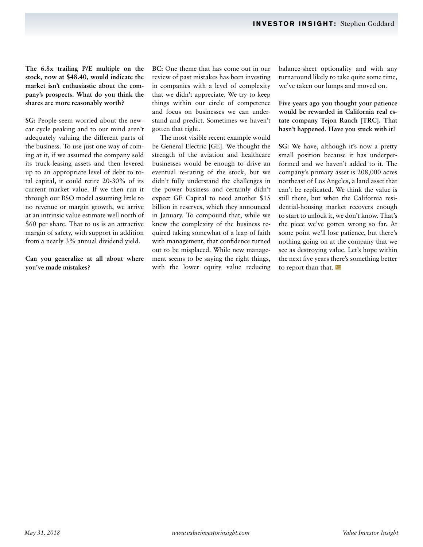**The 6.8x trailing P/E multiple on the stock, now at \$48.40, would indicate the market isn't enthusiastic about the company's prospects. What do you think the shares are more reasonably worth?**

**SG:** People seem worried about the newcar cycle peaking and to our mind aren't adequately valuing the different parts of the business. To use just one way of coming at it, if we assumed the company sold its truck-leasing assets and then levered up to an appropriate level of debt to total capital, it could retire 20-30% of its current market value. If we then run it through our BSO model assuming little to no revenue or margin growth, we arrive at an intrinsic value estimate well north of \$60 per share. That to us is an attractive margin of safety, with support in addition from a nearly 3% annual dividend yield.

**Can you generalize at all about where you've made mistakes?**

**BC:** One theme that has come out in our review of past mistakes has been investing in companies with a level of complexity that we didn't appreciate. We try to keep things within our circle of competence and focus on businesses we can understand and predict. Sometimes we haven't gotten that right.

The most visible recent example would be General Electric [GE]. We thought the strength of the aviation and healthcare businesses would be enough to drive an eventual re-rating of the stock, but we didn't fully understand the challenges in the power business and certainly didn't expect GE Capital to need another \$15 billion in reserves, which they announced in January. To compound that, while we knew the complexity of the business required taking somewhat of a leap of faith with management, that confidence turned out to be misplaced. While new management seems to be saying the right things, with the lower equity value reducing

balance-sheet optionality and with any turnaround likely to take quite some time, we've taken our lumps and moved on.

## **Five years ago you thought your patience would be rewarded in California real estate company Tejon Ranch [TRC]. That hasn't happened. Have you stuck with it?**

**SG:** We have, although it's now a pretty small position because it has underperformed and we haven't added to it. The company's primary asset is 208,000 acres northeast of Los Angeles, a land asset that can't be replicated. We think the value is still there, but when the California residential-housing market recovers enough to start to unlock it, we don't know. That's the piece we've gotten wrong so far. At some point we'll lose patience, but there's nothing going on at the company that we see as destroying value. Let's hope within the next five years there's something better to report than that. VII